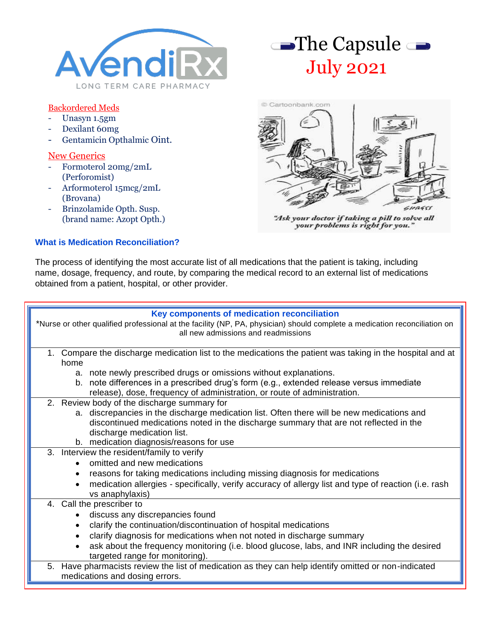

# Backordered Meds

- Unasyn 1.5gm
- Dexilant 60mg
- Gentamicin Opthalmic Oint.

### New Generics

- Formoterol 20mg/2mL (Perforomist)
- Arformoterol 15mcg/2mL (Brovana)
- Brinzolamide Opth. Susp. (brand name: Azopt Opth.)

## **What is Medication Reconciliation?**





"Ask your doctor if taking a pill to solve all your problems is right for you."

The process of identifying the most accurate list of all medications that the patient is taking, including name, dosage, frequency, and route, by comparing the medical record to an external list of medications obtained from a patient, hospital, or other provider.

## **Key components of medication reconciliation** \*Nurse or other qualified professional at the facility (NP, PA, physician) should complete a medication reconciliation on all new admissions and readmissions 1. Compare the discharge medication list to the medications the patient was taking in the hospital and at home a. note newly prescribed drugs or omissions without explanations. b. note differences in a prescribed drug's form (e.g., extended release versus immediate release), dose, frequency of administration, or route of administration. 2. Review body of the discharge summary for a. discrepancies in the discharge medication list. Often there will be new medications and discontinued medications noted in the discharge summary that are not reflected in the discharge medication list. b. medication diagnosis/reasons for use 3. Interview the resident/family to verify • omitted and new medications • reasons for taking medications including missing diagnosis for medications • medication allergies - specifically, verify accuracy of allergy list and type of reaction (i.e. rash vs anaphylaxis) 4. Call the prescriber to • discuss any discrepancies found • clarify the continuation/discontinuation of hospital medications • clarify diagnosis for medications when not noted in discharge summary ask about the frequency monitoring (i.e. blood glucose, labs, and INR including the desired targeted range for monitoring). 5. Have pharmacists review the list of medication as they can help identify omitted or non-indicated medications and dosing errors.